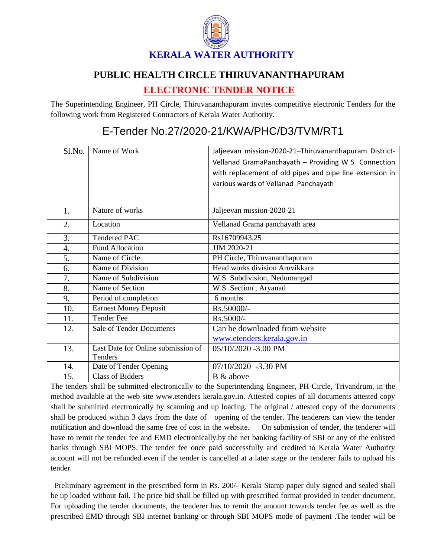

## **PUBLIC HEALTH CIRCLE THIRUVANANTHAPURAM**

## **ELECTRONIC TENDER NOTICE**

The Superintending Engineer, PH Circle, Thiruvananthapuram invites competitive electronic Tenders for the following work from Registered Contractors of Kerala Water Authority.

## E-Tender No.27/2020-21/KWA/PHC/D3/TVM/RT1

| Sl.No.           | Name of Work                       | Jaljeevan mission-2020-21-Thiruvananthapuram District-   |
|------------------|------------------------------------|----------------------------------------------------------|
|                  |                                    | Vellanad GramaPanchayath - Providing W S Connection      |
|                  |                                    | with replacement of old pipes and pipe line extension in |
|                  |                                    | various wards of Vellanad Panchayath                     |
|                  |                                    |                                                          |
|                  |                                    |                                                          |
| 1.               | Nature of works                    | Jaljeevan mission-2020-21                                |
| 2.               | Location                           | Vellanad Grama panchayath area                           |
| 3.               | <b>Tendered PAC</b>                | Rs16709943.25                                            |
| $\overline{4}$ . | <b>Fund Allocation</b>             | JJM 2020-21                                              |
| 5.               | Name of Circle                     | PH Circle, Thiruvananthapuram                            |
| 6.               | Name of Division                   | Head works division Aruvikkara                           |
| 7.               | Name of Subdivision                | W.S. Subdivision, Nedumangad                             |
| 8.               | Name of Section                    | W.S. Section, Aryanad                                    |
| 9.               | Period of completion               | 6 months                                                 |
| 10.              | <b>Earnest Money Deposit</b>       | Rs.50000/-                                               |
| 11.              | <b>Tender Fee</b>                  | Rs.5000/-                                                |
| 12.              | <b>Sale of Tender Documents</b>    | Can be downloaded from website                           |
|                  |                                    | www.etenders.kerala.gov.in                               |
| 13.              | Last Date for Online submission of | 05/10/2020 -3.00 PM                                      |
|                  | <b>Tenders</b>                     |                                                          |
| 14.              | Date of Tender Opening             | 07/10/2020 -3.30 PM                                      |
| 15.              | <b>Class of Bidders</b>            | B & above                                                |

The tenders shall be submitted electronically to the Superintending Engineer, PH Circle, Trivandrum, in the method available at the web site www.etenders kerala.gov.in. Attested copies of all documents attested copy shall be submitted electronically by scanning and up loading. The original / attested copy of the documents shall be produced within 3 days from the date of opening of the tender. The tenderers can view the tender notification and download the same free of cost in the website. On submission of tender, the tenderer will have to remit the tender fee and EMD electronically.by the net banking facility of SBI or any of the enlisted banks through SBI MOPS. The tender fee once paid successfully and credited to Kerala Water Authority account will not be refunded even if the tender is cancelled at a later stage or the tenderer fails to upload his tender.

 Preliminary agreement in the prescribed form in Rs. 200/- Kerala Stamp paper duly signed and sealed shall be up loaded without fail. The price bid shall be filled up with prescribed format provided in tender document. For uploading the tender documents, the tenderer has to remit the amount towards tender fee as well as the prescribed EMD through SBI internet banking or through SBI MOPS mode of payment .The tender will be